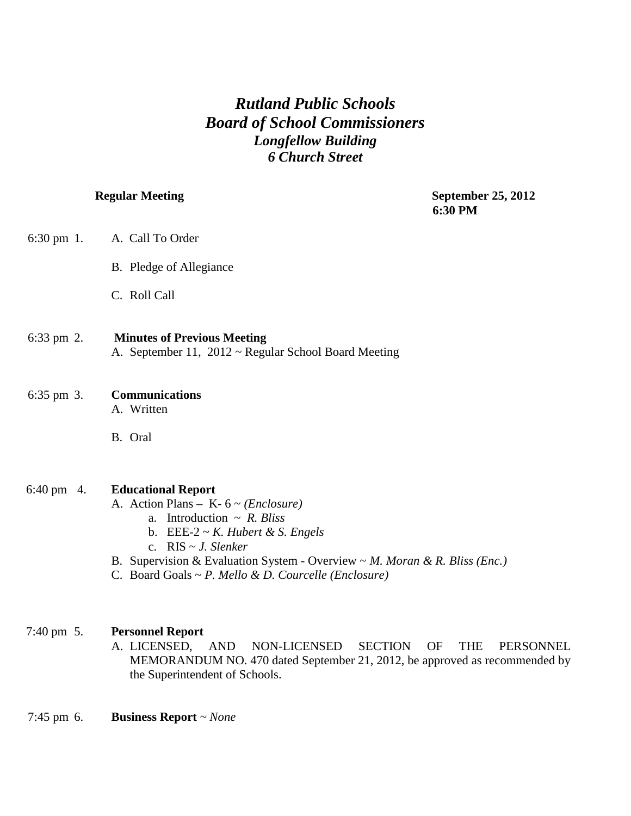# *Rutland Public Schools Board of School Commissioners Longfellow Building 6 Church Street*

**Regular Meeting September 25, 2012 6:30 PM** 

| $6:30 \text{ pm } 1$ . | A. Call To Order        |
|------------------------|-------------------------|
|                        | B. Pledge of Allegiance |

C. Roll Call

| 6:33 pm $2.$ | <b>Minutes of Previous Meeting</b>                        |  |  |
|--------------|-----------------------------------------------------------|--|--|
|              | A. September 11, $2012 \sim$ Regular School Board Meeting |  |  |

# 6:35 pm 3. **Communications**

A. Written

B. Oral

## 6:40 pm 4. **Educational Report**

A. Action Plans – K- 6 ~ *(Enclosure)*

- a. Introduction ~ *R. Bliss*
- b. EEE-2 ~ *K. Hubert & S. Engels*
- c. RIS ~ *J. Slenker*
- B. Supervision & Evaluation System Overview ~ *M. Moran & R. Bliss (Enc.)*
- C. Board Goals ~ *P. Mello & D. Courcelle (Enclosure)*

## 7:40 pm 5. **Personnel Report**

- A. LICENSED, AND NON-LICENSED SECTION OF THE PERSONNEL MEMORANDUM NO. 470 dated September 21, 2012, be approved as recommended by the Superintendent of Schools.
- 7:45 pm 6. **Business Report** *~ None*